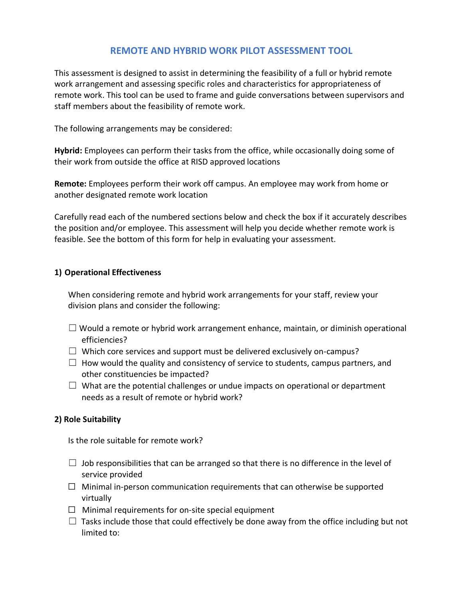# **REMOTE AND HYBRID WORK PILOT ASSESSMENT TOOL**

This assessment is designed to assist in determining the feasibility of a full or hybrid remote work arrangement and assessing specific roles and characteristics for appropriateness of remote work. This tool can be used to frame and guide conversations between supervisors and staff members about the feasibility of remote work.

The following arrangements may be considered:

**Hybrid:** Employees can perform their tasks from the office, while occasionally doing some of their work from outside the office at RISD approved locations

**Remote:** Employees perform their work off campus. An employee may work from home or another designated remote work location

Carefully read each of the numbered sections below and check the box if it accurately describes the position and/or employee. This assessment will help you decide whether remote work is feasible. See the bottom of this form for help in evaluating your assessment.

### **1) Operational Effectiveness**

When considering remote and hybrid work arrangements for your staff, review your division plans and consider the following:

- $\Box$  Would a remote or hybrid work arrangement enhance, maintain, or diminish operational efficiencies?
- $\Box$  Which core services and support must be delivered exclusively on-campus?
- $\Box$  How would the quality and consistency of service to students, campus partners, and other constituencies be impacted?
- $\Box$  What are the potential challenges or undue impacts on operational or department needs as a result of remote or hybrid work?

## **2) Role Suitability**

Is the role suitable for remote work?

- $\Box$  Job responsibilities that can be arranged so that there is no difference in the level of service provided
- $\Box$  Minimal in-person communication requirements that can otherwise be supported virtually
- $\Box$  Minimal requirements for on-site special equipment
- $\Box$  Tasks include those that could effectively be done away from the office including but not limited to: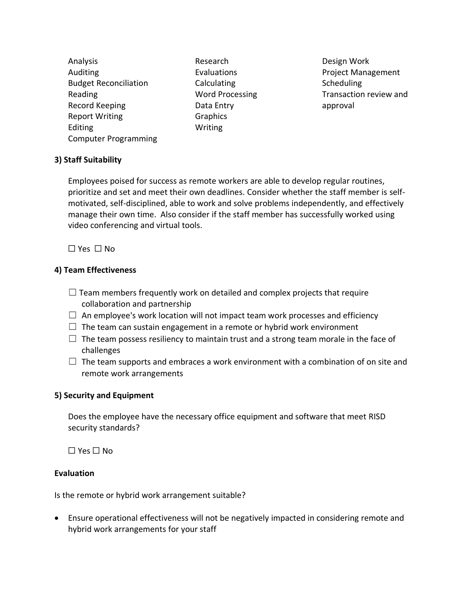Analysis Auditing Budget Reconciliation Reading Record Keeping Report Writing Editing Computer Programming

Research Evaluations Calculating Word Processing Data Entry Graphics Writing

Design Work Project Management **Scheduling** Transaction review and approval

#### **3) Staff Suitability**

Employees poised for success as remote workers are able to develop regular routines, prioritize and set and meet their own deadlines. Consider whether the staff member is selfmotivated, self-disciplined, able to work and solve problems independently, and effectively manage their own time. Also consider if the staff member has successfully worked using video conferencing and virtual tools.

☐ Yes ☐ No

## **4) Team Effectiveness**

- $\Box$  Team members frequently work on detailed and complex projects that require collaboration and partnership
- $\Box$  An employee's work location will not impact team work processes and efficiency
- $\Box$  The team can sustain engagement in a remote or hybrid work environment
- $\Box$  The team possess resiliency to maintain trust and a strong team morale in the face of challenges
- $\Box$  The team supports and embraces a work environment with a combination of on site and remote work arrangements

## **5) Security and Equipment**

Does the employee have the necessary office equipment and software that meet RISD security standards?

☐ Yes ☐ No

## **Evaluation**

Is the remote or hybrid work arrangement suitable?

• Ensure operational effectiveness will not be negatively impacted in considering remote and hybrid work arrangements for your staff